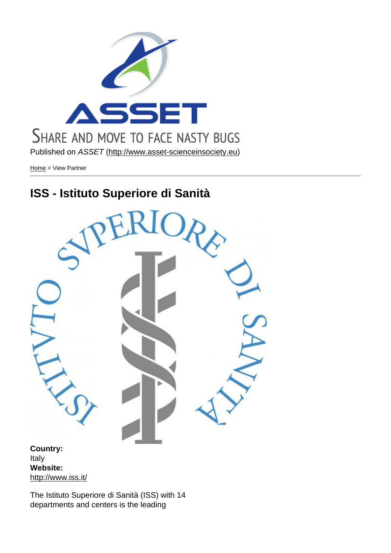Published on ASSET (http://www.asset-scienceinsociety.eu)

Home > View Partner

# [ISS](http://www.asset-scienceinsociety.eu/) - Istituto S[uperiore di Sanità](http://www.asset-scienceinsociety.eu)

Country: Italy Website: http://www.iss.it/

The Istituto Superiore di Sanità (ISS) with 14 [departments and](http://www.iss.it/) centers is the leading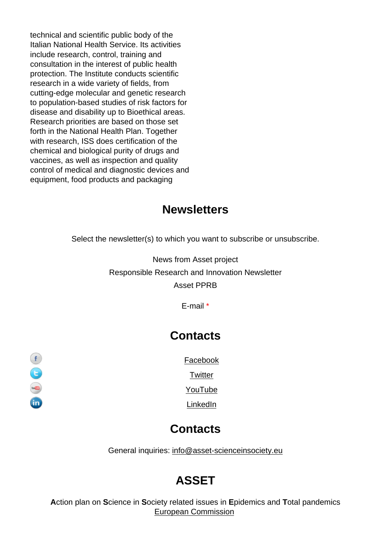technical and scientific public body of the Italian National Health Service. Its activities include research, control, training and consultation in the interest of public health protection. The Institute conducts scientific research in a wide variety of fields, from cutting-edge molecular and genetic research to population-based studies of risk factors for disease and disability up to Bioethical areas. Research priorities are based on those set forth in the National Health Plan. Together with research, ISS does certification of the chemical and biological purity of drugs and vaccines, as well as inspection and quality control of medical and diagnostic devices and equipment, food products and packaging

### **Newsletters**

Select the newsletter(s) to which you want to subscribe or unsubscribe.

News from Asset project Responsible Research and Innovation Newsletter Asset PPRB

E-mail \*

#### **Contacts**

Facebook

**Twitter** 

YouTube

LinkedIn

#### **Contacts**

General inquiries: info@asset-scienceinsociety.eu

## [ASSET](mailto:info@asset-scienceinsociety.eu)

Action plan on Science in Society related issues in Epidemics and Total pandemics European Commission